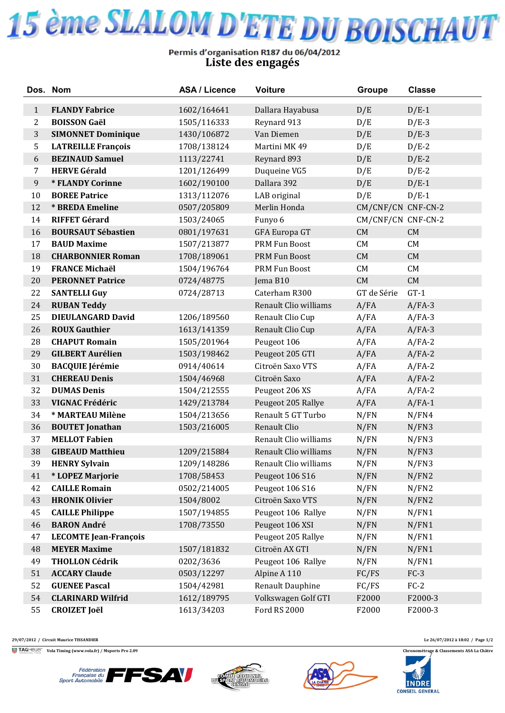

## Permis d'organisation R187 du 06/04/2012<br>Liste des engagés

|              | Dos. Nom                     | <b>ASA / Licence</b> | <b>Voiture</b>        | <b>Groupe</b>      | <b>Classe</b> |
|--------------|------------------------------|----------------------|-----------------------|--------------------|---------------|
| $\mathbf{1}$ | <b>FLANDY Fabrice</b>        | 1602/164641          | Dallara Hayabusa      | D/E                | $D/E-1$       |
| 2            | <b>BOISSON Gaël</b>          | 1505/116333          | Reynard 913           | D/E                | $D/E-3$       |
| 3            | <b>SIMONNET Dominique</b>    | 1430/106872          | Van Diemen            | D/E                | $D/E-3$       |
| 5            | <b>LATREILLE François</b>    | 1708/138124          | Martini MK 49         | D/E                | $D/E-2$       |
| 6            | <b>BEZINAUD Samuel</b>       | 1113/22741           | Reynard 893           | D/E                | $D/E-2$       |
| 7            | <b>HERVE Gérald</b>          | 1201/126499          | Duqueine VG5          | D/E                | $D/E-2$       |
| 9            | * FLANDY Corinne             | 1602/190100          | Dallara 392           | D/E                | $D/E-1$       |
| 10           | <b>BOREE Patrice</b>         | 1313/112076          | LAB original          | D/E                | $D/E-1$       |
| 12           | * BREDA Emeline              | 0507/205809          | Merlin Honda          | CM/CNF/CN CNF-CN-2 |               |
| 14           | <b>RIFFET Gérard</b>         | 1503/24065           | Funyo 6               | CM/CNF/CN CNF-CN-2 |               |
| 16           | <b>BOURSAUT Sébastien</b>    | 0801/197631          | GFA Europa GT         | CM                 | ${\rm CM}$    |
| 17           | <b>BAUD Maxime</b>           | 1507/213877          | PRM Fun Boost         | CM                 | CM            |
| 18           | <b>CHARBONNIER Roman</b>     | 1708/189061          | PRM Fun Boost         | CM                 | ${\rm CM}$    |
| 19           | <b>FRANCE Michaël</b>        | 1504/196764          | PRM Fun Boost         | CM                 | CM            |
| 20           | <b>PERONNET Patrice</b>      | 0724/48775           | Jema B10              | CM                 | ${\rm CM}$    |
| 22           | <b>SANTELLI Guy</b>          | 0724/28713           | Caterham R300         | GT de Série        | $GT-1$        |
| 24           | <b>RUBAN Teddy</b>           |                      | Renault Clio williams | A/FA               | $A/FA-3$      |
| 25           | <b>DIEULANGARD David</b>     | 1206/189560          | Renault Clio Cup      | A/FA               | $A/FA-3$      |
| 26           | <b>ROUX Gauthier</b>         | 1613/141359          | Renault Clio Cup      | A/FA               | $A/FA-3$      |
| 28           | <b>CHAPUT Romain</b>         | 1505/201964          | Peugeot 106           | A/FA               | $A/FA-2$      |
| 29           | <b>GILBERT Aurélien</b>      | 1503/198462          | Peugeot 205 GTI       | A/FA               | $A/FA-2$      |
| 30           | <b>BACQUIE Jérémie</b>       | 0914/40614           | Citroën Saxo VTS      | A/FA               | $A/FA-2$      |
| 31           | <b>CHEREAU Denis</b>         | 1504/46968           | Citroën Saxo          | A/FA               | $A/FA-2$      |
| 32           | <b>DUMAS Denis</b>           | 1504/212555          | Peugeot 206 XS        | A/FA               | $A/FA-2$      |
| 33           | VIGNAC Frédéric              | 1429/213784          | Peugeot 205 Rallye    | A/FA               | $A/FA-1$      |
| 34           | * MARTEAU Milène             | 1504/213656          | Renault 5 GT Turbo    | N/FN               | N/FN4         |
| 36           | <b>BOUTET</b> Jonathan       | 1503/216005          | Renault Clio          | N/FN               | N/FN3         |
| 37           | <b>MELLOT Fabien</b>         |                      | Renault Clio williams | N/FN               | N/FN3         |
| 38           | <b>GIBEAUD Matthieu</b>      | 1209/215884          | Renault Clio williams | N/FN               | N/FN3         |
| 39           | <b>HENRY Sylvain</b>         | 1209/148286          | Renault Clio williams | N/FN               | N/FN3         |
| 41           | * LOPEZ Marjorie             | 1708/58453           | Peugeot 106 S16       | N/FN               | N/FN2         |
| 42           | <b>CAILLE Romain</b>         | 0502/214005          | Peugeot 106 S16       | N/FN               | N/FN2         |
| 43           | <b>HRONIK Olivier</b>        | 1504/8002            | Citroën Saxo VTS      | N/FN               | N/FN2         |
| 45           | <b>CAILLE Philippe</b>       | 1507/194855          | Peugeot 106 Rallye    | N/FN               | N/FN1         |
| 46           | <b>BARON André</b>           | 1708/73550           | Peugeot 106 XSI       | N/FN               | N/FN1         |
| 47           | <b>LECOMTE Jean-François</b> |                      | Peugeot 205 Rallye    | N/FN               | N/FN1         |
| 48           | <b>MEYER Maxime</b>          | 1507/181832          | Citroën AX GTI        | N/FN               | N/FN1         |
| 49           | <b>THOLLON Cédrik</b>        | 0202/3636            | Peugeot 106 Rallye    | N/FN               | N/FN1         |
| 51           | <b>ACCARY Claude</b>         | 0503/12297           | Alpine A 110          | FC/FS              | $FC-3$        |
| 52           | <b>GUENEE Pascal</b>         | 1504/42981           | Renault Dauphine      | FC/FS              | $FC-2$        |
| 54           | <b>CLARINARD Wilfrid</b>     | 1612/189795          | Volkswagen Golf GTI   | F2000              | F2000-3       |
| 55           | <b>CROIZET Joël</b>          | 1613/34203           | Ford RS 2000          | F2000              | F2000-3       |

**29/07/2012 / Circuit Maurice TISSANDIER Le 26/07/2012 à 18:02 / Page 1/2**

**Vola Timing (www.vola.fr) / Msports Pro 2.09 Chronométrage & Classements ASA La Châtre**









**INDRE CONSEIL GENERAL**